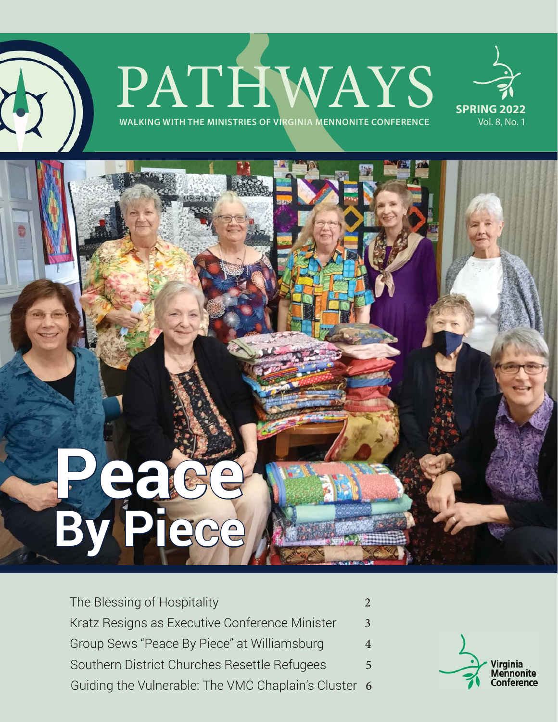## **PATHMENING WITH THE MINISTRIES OF VIRGINIA MENNONITE CONFERENCE**



# **Peace By Piece <sup>y</sup>**

#### The Blessing of Hospitality 2012 2022 Kratz Resigns as Executive Conference Minister 3 Group Sews "Peace By Piece" at Williamsburg 4 Guiding the Vulnerable: The VMC Chaplain's Cluster 6 Southern District Churches Resettle Refugees 5

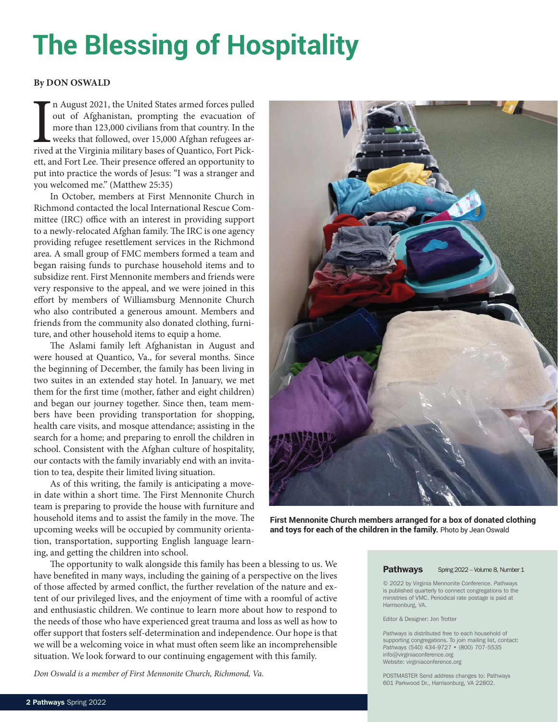## **The Blessing of Hospitality**

#### **By DON OSWALD**

In August 2021, the United States armed forces pulled out of Afghanistan, prompting the evacuation of more than 123,000 civilians from that country. In the weeks that followed, over 15,000 Afghan refugees arrived at the Vi n August 2021, the United States armed forces pulled out of Afghanistan, prompting the evacuation of more than 123,000 civilians from that country. In the weeks that followed, over 15,000 Afghan refugees arett, and Fort Lee. Their presence offered an opportunity to put into practice the words of Jesus: "I was a stranger and you welcomed me." (Matthew 25:35)

In October, members at First Mennonite Church in Richmond contacted the local International Rescue Committee (IRC) office with an interest in providing support to a newly-relocated Afghan family. The IRC is one agency providing refugee resettlement services in the Richmond area. A small group of FMC members formed a team and began raising funds to purchase household items and to subsidize rent. First Mennonite members and friends were very responsive to the appeal, and we were joined in this effort by members of Williamsburg Mennonite Church who also contributed a generous amount. Members and friends from the community also donated clothing, furniture, and other household items to equip a home.

The Aslami family left Afghanistan in August and were housed at Quantico, Va., for several months. Since the beginning of December, the family has been living in two suites in an extended stay hotel. In January, we met them for the first time (mother, father and eight children) and began our journey together. Since then, team members have been providing transportation for shopping, health care visits, and mosque attendance; assisting in the search for a home; and preparing to enroll the children in school. Consistent with the Afghan culture of hospitality, our contacts with the family invariably end with an invitation to tea, despite their limited living situation.

As of this writing, the family is anticipating a movein date within a short time. The First Mennonite Church team is preparing to provide the house with furniture and household items and to assist the family in the move. The upcoming weeks will be occupied by community orientation, transportation, supporting English language learning, and getting the children into school.

The opportunity to walk alongside this family has been a blessing to us. We have benefited in many ways, including the gaining of a perspective on the lives of those affected by armed conflict, the further revelation of the nature and extent of our privileged lives, and the enjoyment of time with a roomful of active and enthusiastic children. We continue to learn more about how to respond to the needs of those who have experienced great trauma and loss as well as how to offer support that fosters self-determination and independence. Our hope is that we will be a welcoming voice in what must often seem like an incomprehensible situation. We look forward to our continuing engagement with this family.

*Don Oswald is a member of First Mennonite Church, Richmond, Va.*



**First Mennonite Church members arranged for a box of donated clothing and toys for each of the children in the family.** Photo by Jean Oswald

#### Pathways Spring 2022 – Volume 8, Number 1

© 2022 by Virginia Mennonite Conference. *Pathways* is published quarterly to connect congregations to the ministries of VMC. Periodical rate postage is paid at Harrisonburg, VA.

#### Editor & Designer: Jon Trotter

*Pathways* is distributed free to each household of supporting congregations. To join mailing list, contact: *Pathways* (540) 434-9727 • (800) 707-5535 info@virginiaconference.org Website: virginiaconference.org

POSTMASTER Send address changes to: Pathways 601 Parkwood Dr., Harrisonburg, VA 22802.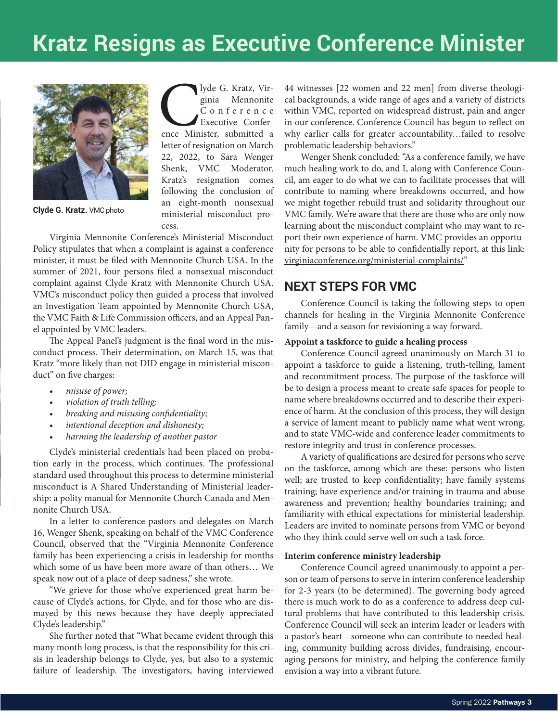## **Kratz Resigns as Executive Conference Minister**



**Clyde G. Kratz.** VMC photo

lyde G. Kratz, Virginia Mennonite<br>
C o n f e r e n c e<br>
Executive Conference Minister, submitted a ginia Mennonite Conference Executive Conferletter of resignation on March 22, 2022, to Sara Wenger Shenk, VMC Moderator. Kratz's resignation comes following the conclusion of an eight-month nonsexual ministerial misconduct process.

Virginia Mennonite Conference's Ministerial Misconduct Policy stipulates that when a complaint is against a conference minister, it must be filed with Mennonite Church USA. In the summer of 2021, four persons filed a nonsexual misconduct complaint against Clyde Kratz with Mennonite Church USA. VMC's misconduct policy then guided a process that involved an Investigation Team appointed by Mennonite Church USA, the VMC Faith & Life Commission officers, and an Appeal Panel appointed by VMC leaders.

The Appeal Panel's judgment is the final word in the misconduct process. Their determination, on March 15, was that Kratz "more likely than not DID engage in ministerial misconduct" on five charges:

- *misuse of power;*
- *violation of truth telling;*
- *breaking and misusing confi dentiality;*
- *intentional deception and dishonesty;*
- *harming the leadership of another pastor*

Clyde's ministerial credentials had been placed on probation early in the process, which continues. The professional standard used throughout this process to determine ministerial misconduct is A Shared Understanding of Ministerial leadership: a polity manual for Mennonite Church Canada and Mennonite Church USA.

In a letter to conference pastors and delegates on March 16, Wenger Shenk, speaking on behalf of the VMC Conference Council, observed that the "Virginia Mennonite Conference family has been experiencing a crisis in leadership for months which some of us have been more aware of than others… We speak now out of a place of deep sadness," she wrote.

"We grieve for those who've experienced great harm because of Clyde's actions, for Clyde, and for those who are dismayed by this news because they have deeply appreciated Clyde's leadership."

She further noted that "What became evident through this many month long process, is that the responsibility for this crisis in leadership belongs to Clyde, yes, but also to a systemic failure of leadership. The investigators, having interviewed

44 witnesses [22 women and 22 men] from diverse theological backgrounds, a wide range of ages and a variety of districts within VMC, reported on widespread distrust, pain and anger in our conference. Conference Council has begun to reflect on why earlier calls for greater accountability…failed to resolve problematic leadership behaviors."

Wenger Shenk concluded: "As a conference family, we have much healing work to do, and I, along with Conference Council, am eager to do what we can to facilitate processes that will contribute to naming where breakdowns occurred, and how we might together rebuild trust and solidarity throughout our VMC family. We're aware that there are those who are only now learning about the misconduct complaint who may want to report their own experience of harm. VMC provides an opportunity for persons to be able to confidentially report, at this link: virginiaconference.org/ministerial-complaints/"

#### **NEXT STEPS FOR VMC**

Conference Council is taking the following steps to open channels for healing in the Virginia Mennonite Conference family—and a season for revisioning a way forward.

#### **Appoint a taskforce to guide a healing process**

Conference Council agreed unanimously on March 31 to appoint a taskforce to guide a listening, truth-telling, lament and recommitment process. The purpose of the taskforce will be to design a process meant to create safe spaces for people to name where breakdowns occurred and to describe their experience of harm. At the conclusion of this process, they will design a service of lament meant to publicly name what went wrong, and to state VMC-wide and conference leader commitments to restore integrity and trust in conference processes.

A variety of qualifications are desired for persons who serve on the taskforce, among which are these: persons who listen well; are trusted to keep confidentiality; have family systems training; have experience and/or training in trauma and abuse awareness and prevention; healthy boundaries training; and familiarity with ethical expectations for ministerial leadership. Leaders are invited to nominate persons from VMC or beyond who they think could serve well on such a task force.

#### **Interim conference ministry leadership**

Conference Council agreed unanimously to appoint a person or team of persons to serve in interim conference leadership for 2-3 years (to be determined). The governing body agreed there is much work to do as a conference to address deep cultural problems that have contributed to this leadership crisis. Conference Council will seek an interim leader or leaders with a pastor's heart—someone who can contribute to needed healing, community building across divides, fundraising, encouraging persons for ministry, and helping the conference family envision a way into a vibrant future.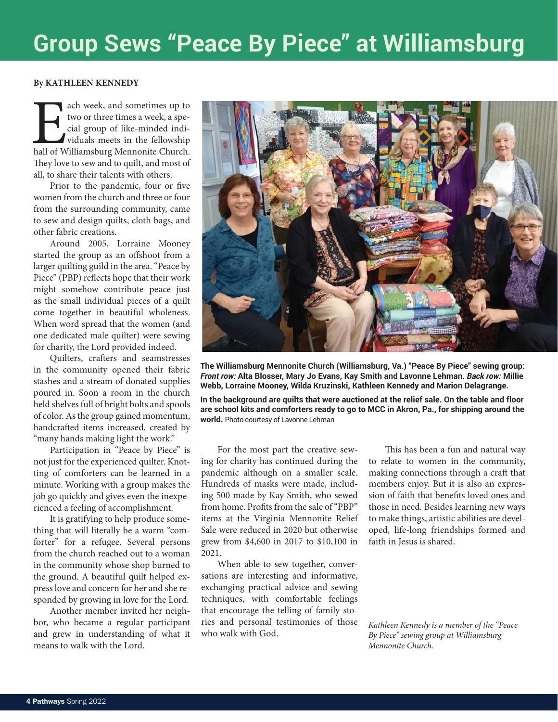## **Group Sews "Peace By Piece" at Williamsburg**

#### **By KATHLEEN KENNEDY**

ach week, and sometimes up to two or three times a week, a special group of like-minded individuals meets in the fellowship hall of Williamsburg Mennonite Church. two or three times a week, a special group of like-minded individuals meets in the fellowship They love to sew and to quilt, and most of all, to share their talents with others.

Prior to the pandemic, four or five women from the church and three or four from the surrounding community, came to sew and design quilts, cloth bags, and other fabric creations.

Around 2005, Lorraine Mooney started the group as an offshoot from a larger quilting guild in the area. "Peace by Piece" (PBP) reflects hope that their work might somehow contribute peace just as the small individual pieces of a quilt come together in beautiful wholeness. When word spread that the women (and one dedicated male quilter) were sewing for charity, the Lord provided indeed.

Quilters, crafters and seamstresses in the community opened their fabric stashes and a stream of donated supplies poured in. Soon a room in the church held shelves full of bright bolts and spools of color. As the group gained momentum, handcrafted items increased, created by "many hands making light the work."

Participation in "Peace by Piece" is not just for the experienced quilter. Knotting of comforters can be learned in a minute. Working with a group makes the job go quickly and gives even the inexperienced a feeling of accomplishment.

It is gratifying to help produce something that will literally be a warm "comforter" for a refugee. Several persons from the church reached out to a woman in the community whose shop burned to the ground. A beautiful quilt helped express love and concern for her and she responded by growing in love for the Lord.

Another member invited her neighbor, who became a regular participant and grew in understanding of what it means to walk with the Lord.



**The Williamsburg Mennonite Church (Williamsburg, Va.) "Peace By Piece" sewing group:**  *Front row:* **Alta Blosser, Mary Jo Evans, Kay Smith and Lavonne Lehman.** *Back row:* **Millie Webb, Lorraine Mooney, Wilda Kruzinski, Kathleen Kennedy and Marion Delagrange.** 

In the background are quilts that were auctioned at the relief sale. On the table and floor **are school kits and comforters ready to go to MCC in Akron, Pa., for shipping around the world.** Photo courtesy of Lavonne Lehman

For the most part the creative sewing for charity has continued during the pandemic although on a smaller scale. Hundreds of masks were made, including 500 made by Kay Smith, who sewed from home. Profits from the sale of "PBP" items at the Virginia Mennonite Relief Sale were reduced in 2020 but otherwise grew from \$4,600 in 2017 to \$10,100 in 2021.

When able to sew together, conversations are interesting and informative, exchanging practical advice and sewing techniques, with comfortable feelings that encourage the telling of family stories and personal testimonies of those who walk with God.

This has been a fun and natural way to relate to women in the community, making connections through a craft that members enjoy. But it is also an expression of faith that benefits loved ones and those in need. Besides learning new ways to make things, artistic abilities are developed, life-long friendships formed and faith in Jesus is shared.

*Kathleen Kennedy is a member of the "Peace By Piece" sewing group at Williamsburg Mennonite Church.*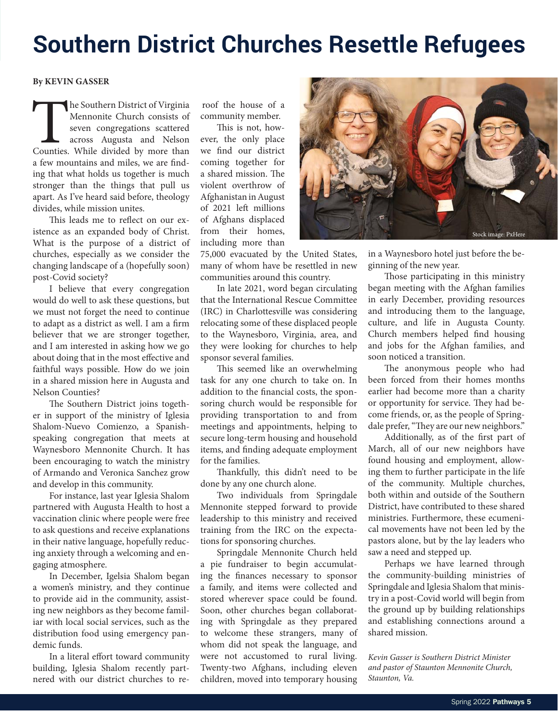## **Southern District Churches Resettle Refugees**

#### **By KEVIN GASSER**

The Southern District of Virginia<br>
Mennonite Church consists of<br>
seven congregations scattered<br>
across Augusta and Nelson<br>
Counties. While divided by more than Mennonite Church consists of seven congregations scattered across Augusta and Nelson a few mountains and miles, we are finding that what holds us together is much stronger than the things that pull us apart. As I've heard said before, theology divides, while mission unites.

This leads me to reflect on our existence as an expanded body of Christ. What is the purpose of a district of churches, especially as we consider the changing landscape of a (hopefully soon) post-Covid society?

I believe that every congregation would do well to ask these questions, but we must not forget the need to continue to adapt as a district as well. I am a firm believer that we are stronger together, and I am interested in asking how we go about doing that in the most effective and faithful ways possible. How do we join in a shared mission here in Augusta and Nelson Counties?

The Southern District joins together in support of the ministry of Iglesia Shalom-Nuevo Comienzo, a Spanishspeaking congregation that meets at Waynesboro Mennonite Church. It has been encouraging to watch the ministry of Armando and Veronica Sanchez grow and develop in this community.

For instance, last year Iglesia Shalom partnered with Augusta Health to host a vaccination clinic where people were free to ask questions and receive explanations in their native language, hopefully reducing anxiety through a welcoming and engaging atmosphere.

In December, Igelsia Shalom began a women's ministry, and they continue to provide aid in the community, assisting new neighbors as they become familiar with local social services, such as the distribution food using emergency pandemic funds.

In a literal effort toward community building, Iglesia Shalom recently partnered with our district churches to re-

roof the house of a community member.

This is not, however, the only place we find our district coming together for a shared mission. The violent overthrow of Afghanistan in August of 2021 left millions of Afghans displaced from their homes, including more than

75,000 evacuated by the United States, many of whom have be resettled in new communities around this country.

In late 2021, word began circulating that the International Rescue Committee (IRC) in Charlottesville was considering relocating some of these displaced people to the Waynesboro, Virginia, area, and they were looking for churches to help sponsor several families.

This seemed like an overwhelming task for any one church to take on. In addition to the financial costs, the sponsoring church would be responsible for providing transportation to and from meetings and appointments, helping to secure long-term housing and household items, and finding adequate employment for the families.

Thankfully, this didn't need to be done by any one church alone.

Two individuals from Springdale Mennonite stepped forward to provide leadership to this ministry and received training from the IRC on the expectations for sponsoring churches.

Springdale Mennonite Church held a pie fundraiser to begin accumulating the finances necessary to sponsor a family, and items were collected and stored wherever space could be found. Soon, other churches began collaborating with Springdale as they prepared to welcome these strangers, many of whom did not speak the language, and were not accustomed to rural living. Twenty-two Afghans, including eleven children, moved into temporary housing



in a Waynesboro hotel just before the beginning of the new year.

Those participating in this ministry began meeting with the Afghan families in early December, providing resources and introducing them to the language, culture, and life in Augusta County. Church members helped find housing and jobs for the Afghan families, and soon noticed a transition.

The anonymous people who had been forced from their homes months earlier had become more than a charity or opportunity for service. They had become friends, or, as the people of Springdale prefer, "They are our new neighbors."

Additionally, as of the first part of March, all of our new neighbors have found housing and employment, allowing them to further participate in the life of the community. Multiple churches, both within and outside of the Southern District, have contributed to these shared ministries. Furthermore, these ecumenical movements have not been led by the pastors alone, but by the lay leaders who saw a need and stepped up.

Perhaps we have learned through the community-building ministries of Springdale and Iglesia Shalom that ministry in a post-Covid world will begin from the ground up by building relationships and establishing connections around a shared mission.

*Kevin Gasser is Southern District Minister and pastor of Staunton Mennonite Church, Staunton, Va.*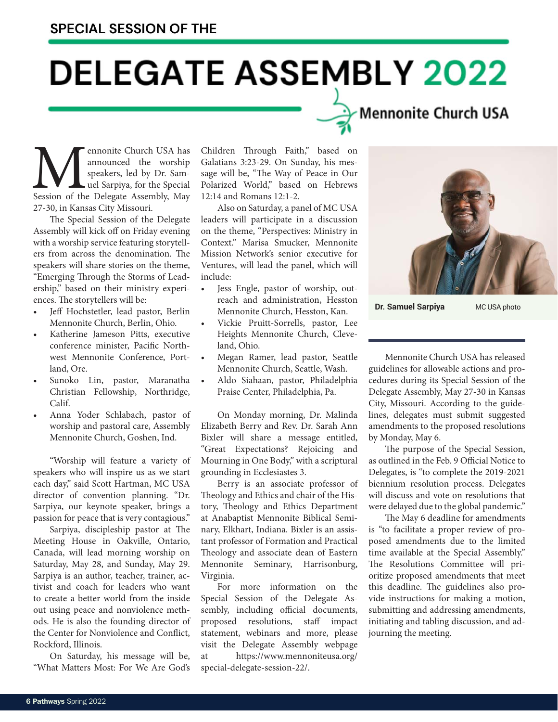## **DELEGATE ASSEMBLY 2022**

## Mennonite Church USA

**Mennonite Church USA has announced the worship speakers, led by Dr. Sam-**<br>Session of the Delegate Assembly, May announced the worship speakers, led by Dr. Samuel Sarpiya, for the Special 27-30, in Kansas City Missouri.

The Special Session of the Delegate Assembly will kick off on Friday evening with a worship service featuring storytellers from across the denomination. The speakers will share stories on the theme, "Emerging Through the Storms of Leadership," based on their ministry experiences. The storytellers will be:

- Jeff Hochstetler, lead pastor, Berlin Mennonite Church, Berlin, Ohio.
- Katherine Jameson Pitts, executive conference minister, Pacific Northwest Mennonite Conference, Portland, Ore.
- Sunoko Lin, pastor, Maranatha Christian Fellowship, Northridge, Calif.
- Anna Yoder Schlabach, pastor of worship and pastoral care, Assembly Mennonite Church, Goshen, Ind.

"Worship will feature a variety of speakers who will inspire us as we start each day," said Scott Hartman, MC USA director of convention planning. "Dr. Sarpiya, our keynote speaker, brings a passion for peace that is very contagious."

Sarpiya, discipleship pastor at The Meeting House in Oakville, Ontario, Canada, will lead morning worship on Saturday, May 28, and Sunday, May 29. Sarpiya is an author, teacher, trainer, activist and coach for leaders who want to create a better world from the inside out using peace and nonviolence methods. He is also the founding director of the Center for Nonviolence and Conflict, Rockford, Illinois.

On Saturday, his message will be, "What Matters Most: For We Are God's Children Through Faith," based on Galatians 3:23-29. On Sunday, his message will be, "The Way of Peace in Our Polarized World," based on Hebrews 12:14 and Romans 12:1-2.

Also on Saturday, a panel of MC USA leaders will participate in a discussion on the theme, "Perspectives: Ministry in Context." Marisa Smucker, Mennonite Mission Network's senior executive for Ventures, will lead the panel, which will include:

- Jess Engle, pastor of worship, outreach and administration, Hesston Mennonite Church, Hesston, Kan.
- Vickie Pruitt-Sorrells, pastor, Lee Heights Mennonite Church, Cleveland, Ohio.
- Megan Ramer, lead pastor, Seattle Mennonite Church, Seattle, Wash.
- Aldo Siahaan, pastor, Philadelphia Praise Center, Philadelphia, Pa.

On Monday morning, Dr. Malinda Elizabeth Berry and Rev. Dr. Sarah Ann Bixler will share a message entitled, "Great Expectations? Rejoicing and Mourning in One Body," with a scriptural grounding in Ecclesiastes 3.

Berry is an associate professor of Theology and Ethics and chair of the History, Theology and Ethics Department at Anabaptist Mennonite Biblical Seminary, Elkhart, Indiana. Bixler is an assistant professor of Formation and Practical Theology and associate dean of Eastern Mennonite Seminary, Harrisonburg, Virginia.

For more information on the Special Session of the Delegate Assembly, including official documents, proposed resolutions, staff impact statement, webinars and more, please visit the Delegate Assembly webpage at https://www.mennoniteusa.org/ special-delegate-session-22/.



**Dr. Samuel Sarpiya** MC USA photo

Mennonite Church USA has released guidelines for allowable actions and procedures during its Special Session of the Delegate Assembly, May 27-30 in Kansas City, Missouri. According to the guidelines, delegates must submit suggested amendments to the proposed resolutions by Monday, May 6.

The purpose of the Special Session, as outlined in the Feb. 9 Official Notice to Delegates, is "to complete the 2019-2021 biennium resolution process. Delegates will discuss and vote on resolutions that were delayed due to the global pandemic."

The May 6 deadline for amendments is "to facilitate a proper review of proposed amendments due to the limited time available at the Special Assembly." The Resolutions Committee will prioritize proposed amendments that meet this deadline. The guidelines also provide instructions for making a motion, submitting and addressing amendments, initiating and tabling discussion, and adjourning the meeting.